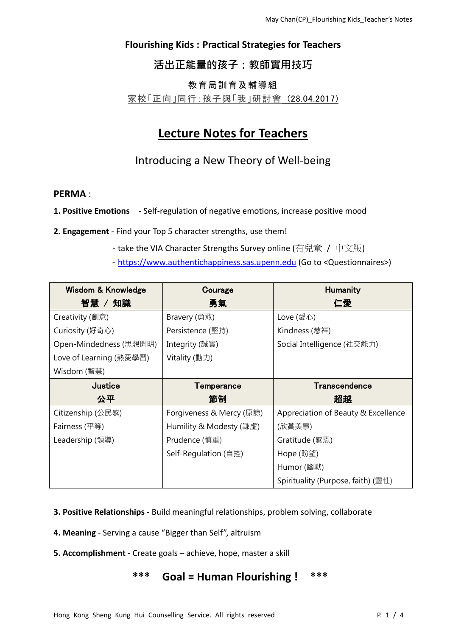### **Flourishing Kids : Practical Strategies for Teachers**

## 活出正能量的孩子:教師實用技巧

#### 教育局訓育及輔導組

#### 家校「正向」同行:孩子與「我」研討會 (28.04.2017)

# **Lecture Notes for Teachers**

Introducing a New Theory of Well-being

#### **PERMA** :

**1. Positive Emotions** - Self-regulation of negative emotions, increase positive mood

- **2. Engagement** Find your Top 5 character strengths, use them!
	- take the VIA Character Strengths Survey online (有兒童 / 中文版)
	- [https://www.authentichappiness.sas.upenn.edu](https://www.authentichappiness.sas.upenn.edu/) (Go to <Questionnaires>)

| Wisdom & Knowledge      | Courage                  | <b>Humanity</b>                     |
|-------------------------|--------------------------|-------------------------------------|
| 智慧 / 知識                 | 勇氣                       | 仁愛                                  |
| Creativity (創意)         | Bravery (勇敢)             | Love (愛心)                           |
| Curiosity (好奇心)         | Persistence (堅持)         | Kindness (慈祥)                       |
| Open-Mindedness (思想開明)  | Integrity (誠實)           | Social Intelligence (社交能力)          |
| Love of Learning (熱愛學習) | Vitality (動力)            |                                     |
| Wisdom (智慧)             |                          |                                     |
| Justice                 | Temperance               | Transcendence                       |
| 公平                      | 節制                       | 超越                                  |
|                         |                          |                                     |
| Citizenship (公民感)       | Forgiveness & Mercy (原諒) | Appreciation of Beauty & Excellence |
| Fairness (平等)           | Humility & Modesty (謙虛)  | (欣賞美事)                              |
| Leadership (領導)         | Prudence (慎重)            | Gratitude (感恩)                      |
|                         | Self-Regulation (自控)     | Hope (盼望)                           |
|                         |                          | Humor (幽默)                          |

- **3. Positive Relationships** Build meaningful relationships, problem solving, collaborate
- **4. Meaning** Serving a cause "Bigger than Self", altruism
- **5. Accomplishment** Create goals achieve, hope, master a skill

## **\*\*\* Goal = Human Flourishing ! \*\*\***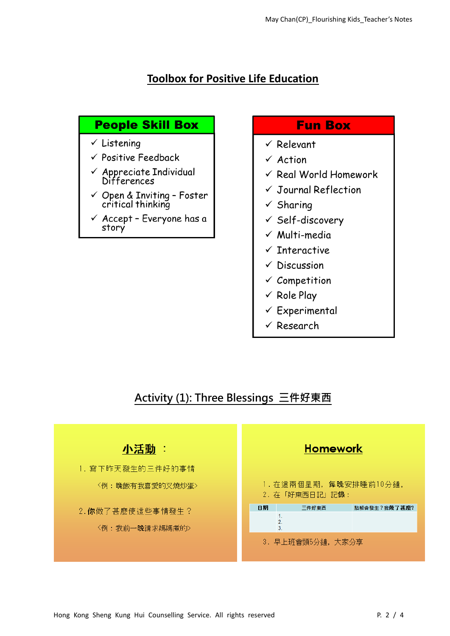## **Toolbox for Positive Life Education**

# **People Skill Box**

- $\checkmark$  Listening
- $\checkmark$  Positive Feedback
- $\checkmark$  Appreciate Individual Differences
- $\checkmark$  Open & Inviting Foster critical thinking
- $\checkmark$  Accept Everyone has a story

# **Fun Box**

- $\checkmark$  Relevant
- $\times$  Action
- $\checkmark$  Real World Homework
- $\checkmark$  Journal Reflection
- $\checkmark$  Sharing
- $\checkmark$  Self-discovery
- $\checkmark$  Multi-media
- $\checkmark$  Interactive
- $\checkmark$  Discussion
- $\checkmark$  Competition
- $\checkmark$  Role Play
- $\checkmark$  Experimental
- $\checkmark$  Research

# Activity (1): Three Blessings 三件好東西

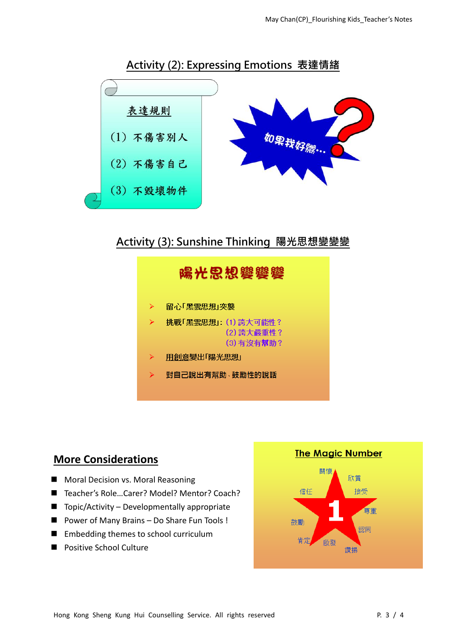

Activity (3): Sunshine Thinking 陽光思想變變變



## **More Considerations**

- **Moral Decision vs. Moral Reasoning**
- Teacher's Role...Carer? Model? Mentor? Coach?
- $\blacksquare$  Topic/Activity Developmentally appropriate
- Power of Many Brains Do Share Fun Tools !
- **Embedding themes to school curriculum**
- **Positive School Culture**